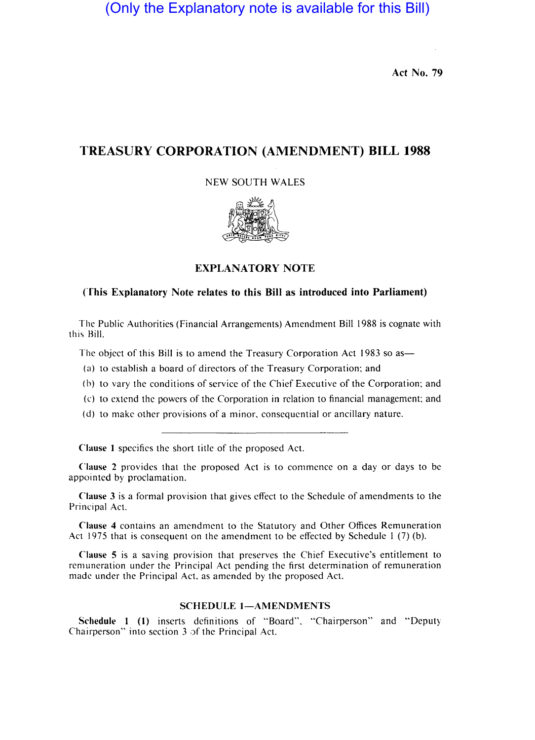(Only the Explanatory note is available for this Bill)

Act No. 79

## TREASURY CORPORATION (AMENDMENT) BILL 1988

NEW SOUTH WALES



### EXPLANATORY NOTE

#### (This Explanatory Note relates to this Bill as introduced into Parliament)

The Public Authorities (Financial Arrangements) Amendment Bill 1988 is cognate with this Hill.

The object of this Bill is to amend the Treasury Corporation Act 1983 so as—

- (a) to establish a board of directors of the Treasury Corporation; and
- (b) to vary the conditions of service of the Chief Executive of the Corporation; and
- (c) to extend the powers of the Corporation in relation to financial management; and
- (d) to make other provisions of a minor, consequential or ancillary nature.

Clause I specifics the short title of the proposed Act.

Clause 2 provides that the proposed Act is to commence on a day or days to be appointed by proclamation.

Clause 3 is a formal provision that gives effect to the Schedule of amendments to the Principal Act.

Clause 4 contains an amendment to the Statutory and Other Offices Remuneration Act 1975 that is consequent on the amendment to be effected by Schedule I (7) (b).

Clause 5 is a saving provision that preserves the Chief Executive's entitlement to remuneration under the Principal Act pending the first determination of remuneration made under the Principal Act, as amended by the proposed Act.

#### SCHEDULE 1-AMENDMENTS

Schedule I (I) inserts definitions of "Board", "Chairperson" and "Deputy Chairperson" into section 3 of the Principal Act.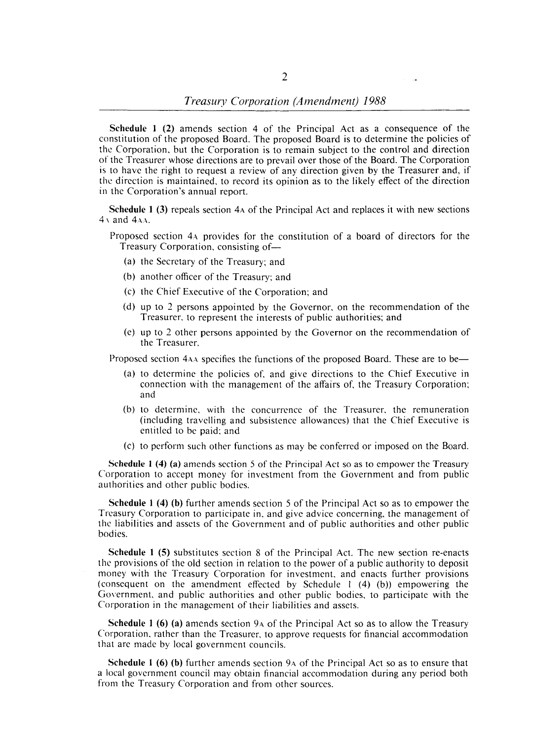Schedule 1 (2) amends section 4 of the Principal Act as a consequence of the constitution of the proposed Board. The proposed Board is to determine the policies of the Corporation, but the Corporation is to remain subject to the control and direction of the Treasurer whose directions are to prevail over those of the Board. The Corporation is to have the right to request a review of any direction given by the Treasurer and, if the direction is maintained, to record its opinion as to the likely effect of the direction in the Corporation's annual report.

Schedule 1 (3) repeals section 4A of the Principal Act and replaces it with new sections  $4 \times$  and  $4$ AA.

- Proposed section 4A provides for the constitution of a board of directors for the Treasury Corporation, consisting of-
	- (a) the Secretary of the Treasury; and
	- (b) another officer of the Treasury; and
	- (c) the Chief Executive of the Corporation; and
	- (d) up to 2 persons appointed by the Governor, on the recommendation of the Treasurer, to represent the interests of public authorities; and
	- (e) up to 2 other persons appointed by the Governor on the recommendation of the Treasurer.

Proposed section 4AA specifies the functions of the proposed Board. These are to be-

- (a) to determine the policies of, and give directions to the Chief Executive in connection with the management of the affairs of, the Treasury Corporation; and
- (b) to determine, with the concurrence of the Treasurer, the remuneration (including travelling and subsistence allowances) that the Chief Executive is entitled to be paid; and
- (c) to perform such other functions as may be conferred or imposed on the Board.

Schedule 1 (4) (a) amends section 5 of the Principal Act so as to empower the Treasury Corporation to accept money for investment from the Government and from public authorities and other public bodies.

Schedule 1 (4) (b) further amends section 5 of the Principal Act so as to empower the Treasury Corporation to participate in, and give advice concerning, the management of the liabilities and assets of the Government and of public authorities and other public bodies.

Schedule 1 (5) substitutes section 8 of the Principal Act. The new section re-enacts the provisions of the old section in relation to the power of a public authority to deposit money with the Treasury Corporation for investment, and enacts further provisions (consequent on the amendment effected by Schedule 1  $(4)$  (b)) empowering the Government, and public authorities and other public bodies, to participate with the Corporation in the management of their liabilities and assets.

Schedule 1 (6) (a) amends section 9A of the Principal Act so as to allow the Treasury Corporation, rather than the Treasurer, to approve requests for financial accommodation that are made by local government councils.

Schedule 1 (6) (b) further amends section 9A of the Principal Act so as to ensure that a local government council may obtain financial accommodation during any period both from the Treasury Corporation and from other sources.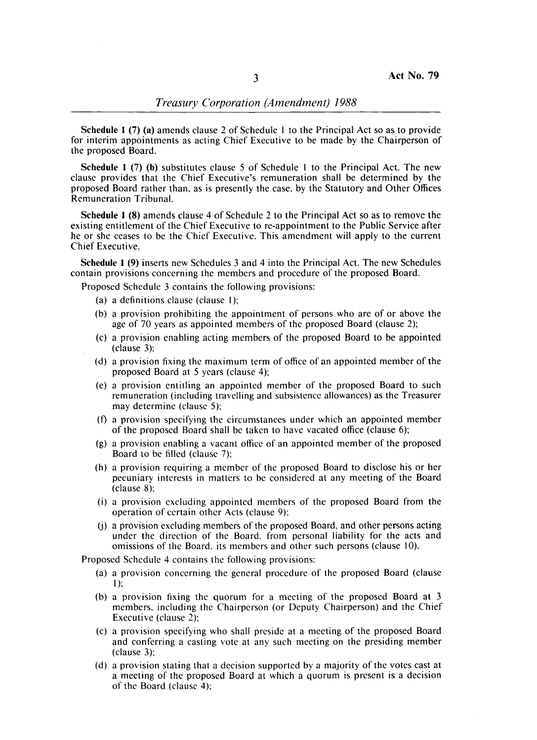## *Treasury Corporation (Amendment) 1988*

Schedule 1 (7) (a) amends clause 2 of Schedule 1 to the Principal Act so as to provide for interim appointments as acting Chief Executive to be made by the Chairperson of the proposed Board.

Schedule 1 (7) (b) substitutes clause 5 of Schedule 1 to the Principal Act. The new clause provides that the Chief Executive's remuneration shall be determined by the proposed Board rather than, as is presently the case, by the Statutory and Other Offices Remuneration Tribunal.

Schedule 1 (8) amends clause 4 of Schedule 2 to the Principal Act so as to remove the existing entitlement of the Chief Executive to re-appointment to the Public Service after he or she ceases to be the Chief Executive. This amendment will apply to the current Chief Executive.

Schedule 1 (9) inserts new Schedules 3 and 4 into the Principal Act. The new Schedules contain provisions concerning the members and procedure of the proposed Board.

Proposed Schedule 3 contains the following provisions:

- (a) a definitions clause (clause I);
- (b) a provision prohibiting the appointment of persons who are of or above the age of 70 years as appointed members of the proposed Board (clause 2);
- (c) a provision enabling acting members of the proposed Board to be appointed (clause 3);
- (d) a provision fixing the maximum term of office of an appointed member of the proposed Board at 5 years (clause 4);
- (e) a provision entitling an appointed member of the proposed Board to such remuneration (including travelling and subsistence allowances) as the Treasurer may determine (clause 5);
- (f) a provision specifying the circumstances under which an appointed member of the proposed Board shall be taken to have vacated office (clause 6);
- (g) a provision enabling a vacant office of an appointed member of the proposed Board to be filled (clause 7);
- (h) a provision requiring a member of the proposed Board to disclose his or her pecuniary interests in matters to be considered at any meeting of the Board (clause 8):
- (i) a provision excluding appointed members of the proposed Board from the operation of certain other Acts (clause 9):
- (j) a provision excluding members of the proposed Board. and other persons acting under the direction of the Board. from personal liability for the acts and omissions of the Board. its members and other such persons (clause 10).

Proposed Schedule 4 contains the following provisions:

- (a) a provision concerning the general procedure of the proposed Board (clause I):
- (b) a provision fixing the quorum for a meeting of the proposed Board at 3 members. including the Chairperson (or Deputy Chairperson) and the Chief Executive (clause 2):
- (c) a provision specifying who shall preside at a meeting of the proposed Board and conferring a casting vote at any such meeting on the presiding member (clause 3):
- (d) a provision stating that a decision supported by a majority of the votes cast at a meeting of the proposed Board at which a quorum is present is a decision of the Board (clause 4):